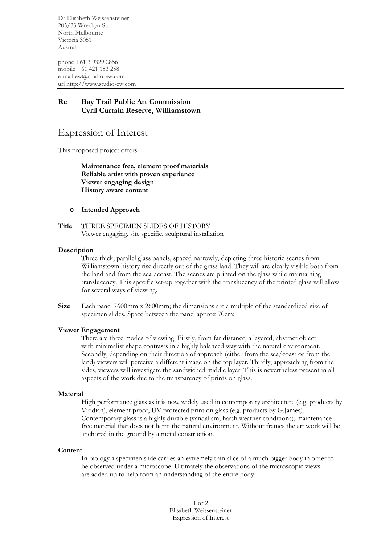Dr Elisabeth Weissensteiner 205/33 Wreckyn St. North Melbourne Victoria 3051 Australia

phone +61 3 9329 2856 mobile +61 421 153 258 e-mail ew@studio-ew.com url http://www.studio-ew.com

# **Re Bay Trail Public Art Commission Cyril Curtain Reserve, Williamstown**

# Expression of Interest

This proposed project offers

**Maintenance free, element proof materials Reliable artist with proven experience Viewer engaging design History aware content**

# o **Intended Approach**

**Title** THREE SPECIMEN SLIDES OF HISTORY Viewer engaging, site specific, sculptural installation

## **Description**

Three thick, parallel glass panels, spaced narrowly, depicting three historic scenes from Williamstown history rise directly out of the grass land. They will are clearly visible both from the land and from the sea /coast. The scenes are printed on the glass while maintaining translucency. This specific set-up together with the translucency of the printed glass will allow for several ways of viewing.

**Size** Each panel 7600mm x 2600mm; the dimensions are a multiple of the standardized size of specimen slides. Space between the panel approx 70cm;

### **Viewer Engagement**

There are three modes of viewing. Firstly, from far distance, a layered, abstract object with minimalist shape contrasts in a highly balanced way with the natural environment. Secondly, depending on their direction of approach (either from the sea/coast or from the land) viewers will perceive a different image on the top layer. Thirdly, approaching from the sides, viewers will investigate the sandwiched middle layer. This is nevertheless present in all aspects of the work due to the transparency of prints on glass.

### **Material**

High performance glass as it is now widely used in contemporary architecture (e.g. products by Viridian), element proof, UV protected print on glass (e.g. products by G.James). Contemporary glass is a highly durable (vandalism, harsh weather conditions), maintenance free material that does not harm the natural environment. Without frames the art work will be anchored in the ground by a metal construction.

### **Content**

In biology a specimen slide carries an extremely thin slice of a much bigger body in order to be observed under a microscope. Ultimately the observations of the microscopic views are added up to help form an understanding of the entire body.

> 1 of 2 Elisabeth Weissensteiner Expression of Interest